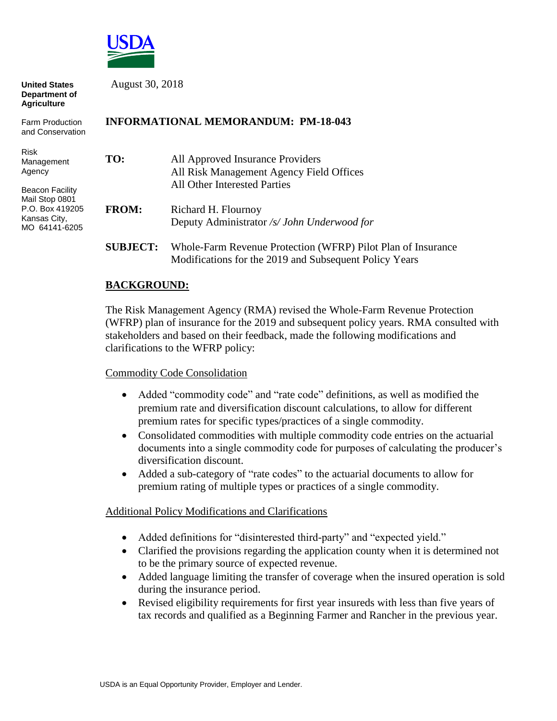

| <b>United States</b><br>Department of<br><b>Agriculture</b>                                  | August 30, 2018<br><b>INFORMATIONAL MEMORANDUM: PM-18-043</b> |                                                                                                                        |
|----------------------------------------------------------------------------------------------|---------------------------------------------------------------|------------------------------------------------------------------------------------------------------------------------|
| <b>Farm Production</b><br>and Conservation                                                   |                                                               |                                                                                                                        |
| <b>Risk</b><br>Management<br>Agency                                                          | TO:                                                           | All Approved Insurance Providers<br>All Risk Management Agency Field Offices<br>All Other Interested Parties           |
| <b>Beacon Facility</b><br>Mail Stop 0801<br>P.O. Box 419205<br>Kansas City,<br>MO 64141-6205 | <b>FROM:</b>                                                  | Richard H. Flournoy<br>Deputy Administrator /s/ John Underwood for                                                     |
|                                                                                              | <b>SUBJECT:</b>                                               | Whole-Farm Revenue Protection (WFRP) Pilot Plan of Insurance<br>Modifications for the 2019 and Subsequent Policy Years |

## **BACKGROUND:**

The Risk Management Agency (RMA) revised the Whole-Farm Revenue Protection (WFRP) plan of insurance for the 2019 and subsequent policy years. RMA consulted with stakeholders and based on their feedback, made the following modifications and clarifications to the WFRP policy:

### Commodity Code Consolidation

- Added "commodity code" and "rate code" definitions, as well as modified the premium rate and diversification discount calculations, to allow for different premium rates for specific types/practices of a single commodity.
- Consolidated commodities with multiple commodity code entries on the actuarial documents into a single commodity code for purposes of calculating the producer's diversification discount.
- Added a sub-category of "rate codes" to the actuarial documents to allow for premium rating of multiple types or practices of a single commodity.

#### Additional Policy Modifications and Clarifications

- Added definitions for "disinterested third-party" and "expected yield."
- Clarified the provisions regarding the application county when it is determined not to be the primary source of expected revenue.
- Added language limiting the transfer of coverage when the insured operation is sold during the insurance period.
- Revised eligibility requirements for first year insureds with less than five years of tax records and qualified as a Beginning Farmer and Rancher in the previous year.